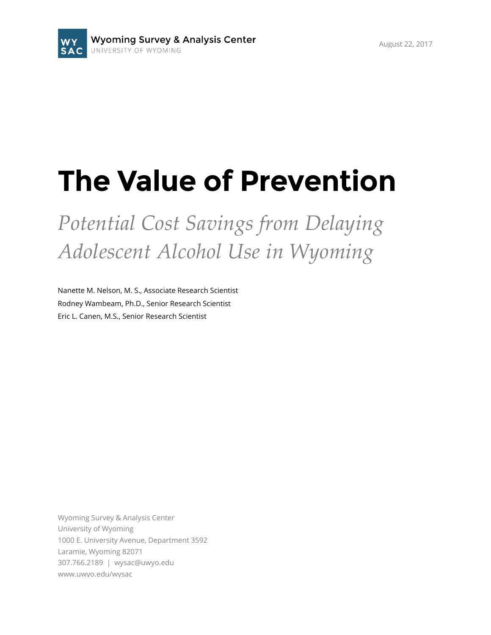# **The Value of Prevention**

*Potential Cost Savings from Delaying Adolescent Alcohol Use in Wyoming*

Nanette M. Nelson, M. S., Associate Research Scientist Rodney Wambeam, Ph.D., Senior Research Scientist Eric L. Canen, M.S., Senior Research Scientist

Wyoming Survey & Analysis Center University of Wyoming 1000 E. University Avenue, Department 3592 Laramie, Wyoming 82071 307.766.2189 | wysac@uwyo.edu www.uwyo.edu/wysac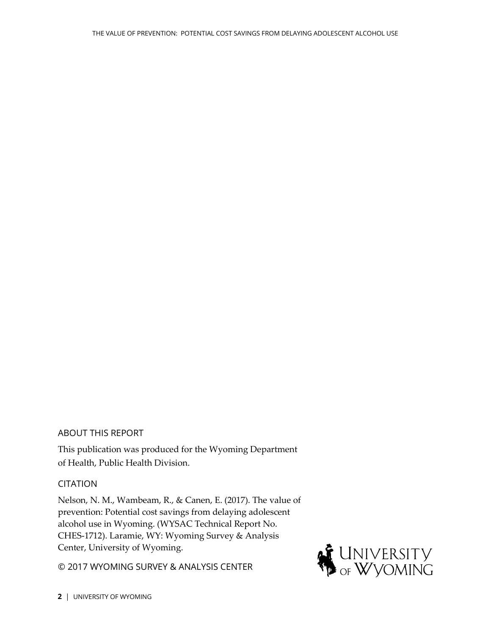#### ABOUT THIS REPORT

This publication was produced for the Wyoming Department of Health, Public Health Division.

#### **CITATION**

Nelson, N. M., Wambeam, R., & Canen, E. (2017). The value of prevention: Potential cost savings from delaying adolescent alcohol use in Wyoming. (WYSAC Technical Report No. CHES-1712). Laramie, WY: Wyoming Survey & Analysis Center, University of Wyoming.

© 2017 WYOMING SURVEY & ANALYSIS CENTER

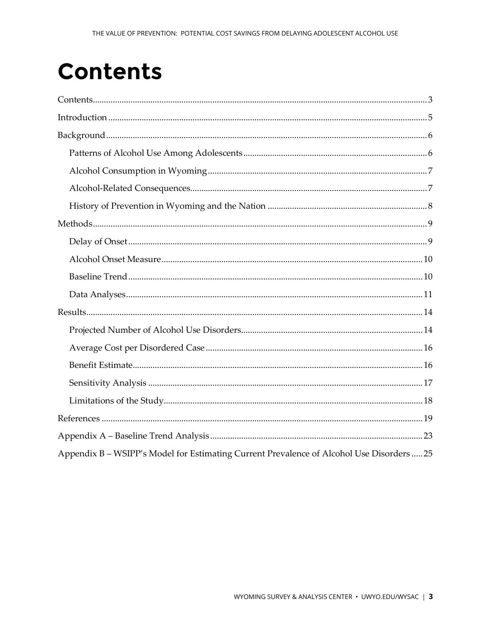## <span id="page-2-0"></span>**Contents**

| Appendix B – WSIPP's Model for Estimating Current Prevalence of Alcohol Use Disorders  25 |
|-------------------------------------------------------------------------------------------|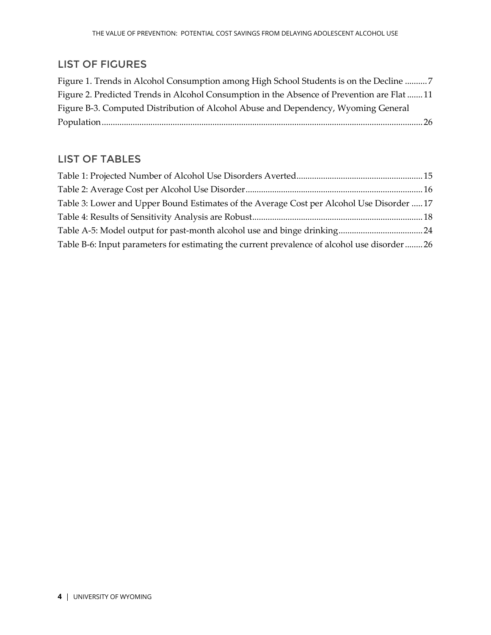#### LIST OF FIGURES

| Figure 1. Trends in Alcohol Consumption among High School Students is on the Decline 7     |
|--------------------------------------------------------------------------------------------|
| Figure 2. Predicted Trends in Alcohol Consumption in the Absence of Prevention are Flat 11 |
| Figure B-3. Computed Distribution of Alcohol Abuse and Dependency, Wyoming General         |
|                                                                                            |

#### LIST OF TABLES

| Table 3: Lower and Upper Bound Estimates of the Average Cost per Alcohol Use Disorder  17     |  |
|-----------------------------------------------------------------------------------------------|--|
|                                                                                               |  |
|                                                                                               |  |
| Table B-6: Input parameters for estimating the current prevalence of alcohol use disorder  26 |  |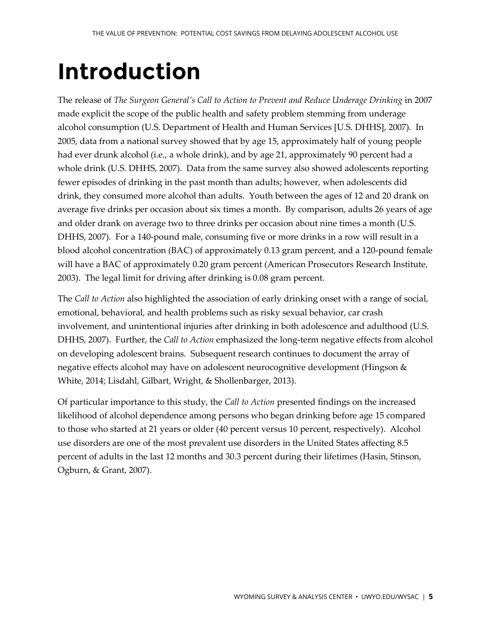# <span id="page-4-0"></span>**Introduction**

The release of *The Surgeon General's Call to Action to Prevent and Reduce Underage Drinking* in 2007 made explicit the scope of the public health and safety problem stemming from underage alcohol consumption (U.S. Department of Health and Human Services [U.S. DHHS], 2007). In 2005, data from a national survey showed that by age 15, approximately half of young people had ever drunk alcohol (i.e., a whole drink), and by age 21, approximately 90 percent had a whole drink (U.S. DHHS, 2007). Data from the same survey also showed adolescents reporting fewer episodes of drinking in the past month than adults; however, when adolescents did drink, they consumed more alcohol than adults. Youth between the ages of 12 and 20 drank on average five drinks per occasion about six times a month. By comparison, adults 26 years of age and older drank on average two to three drinks per occasion about nine times a month (U.S. DHHS, 2007). For a 140-pound male, consuming five or more drinks in a row will result in a blood alcohol concentration (BAC) of approximately 0.13 gram percent, and a 120-pound female will have a BAC of approximately 0.20 gram percent (American Prosecutors Research Institute, 2003). The legal limit for driving after drinking is 0.08 gram percent.

The *Call to Action* also highlighted the association of early drinking onset with a range of social, emotional, behavioral, and health problems such as risky sexual behavior, car crash involvement, and unintentional injuries after drinking in both adolescence and adulthood (U.S. DHHS, 2007). Further, the *Call to Action* emphasized the long-term negative effects from alcohol on developing adolescent brains. Subsequent research continues to document the array of negative effects alcohol may have on adolescent neurocognitive development (Hingson & White, 2014; Lisdahl, Gilbart, Wright, & Shollenbarger, 2013).

Of particular importance to this study, the *Call to Action* presented findings on the increased likelihood of alcohol dependence among persons who began drinking before age 15 compared to those who started at 21 years or older (40 percent versus 10 percent, respectively). Alcohol use disorders are one of the most prevalent use disorders in the United States affecting 8.5 percent of adults in the last 12 months and 30.3 percent during their lifetimes (Hasin, Stinson, Ogburn, & Grant, 2007).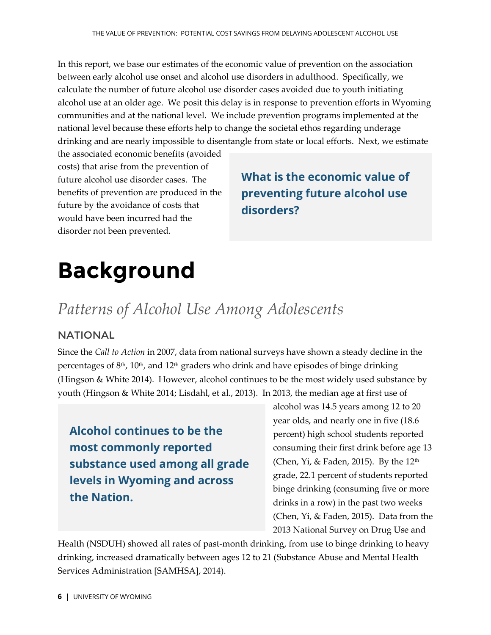In this report, we base our estimates of the economic value of prevention on the association between early alcohol use onset and alcohol use disorders in adulthood. Specifically, we calculate the number of future alcohol use disorder cases avoided due to youth initiating alcohol use at an older age. We posit this delay is in response to prevention efforts in Wyoming communities and at the national level. We include prevention programs implemented at the national level because these efforts help to change the societal ethos regarding underage drinking and are nearly impossible to disentangle from state or local efforts. Next, we estimate

the associated economic benefits (avoided costs) that arise from the prevention of future alcohol use disorder cases. The benefits of prevention are produced in the future by the avoidance of costs that would have been incurred had the disorder not been prevented.

## **What is the economic value of preventing future alcohol use disorders?**

# <span id="page-5-0"></span>**Background**

## <span id="page-5-1"></span>*Patterns of Alcohol Use Among Adolescents*

#### NATIONAL

Since the *Call to Action* in 2007, data from national surveys have shown a steady decline in the percentages of  $8<sup>th</sup>$ ,  $10<sup>th</sup>$ , and  $12<sup>th</sup>$  graders who drink and have episodes of binge drinking (Hingson & White 2014). However, alcohol continues to be the most widely used substance by youth (Hingson & White 2014; Lisdahl, et al., 2013). In 2013, the median age at first use of

## **Alcohol continues to be the most commonly reported substance used among all grade levels in Wyoming and across the Nation.**

alcohol was 14.5 years among 12 to 20 year olds, and nearly one in five (18.6 percent) high school students reported consuming their first drink before age 13 (Chen, Yi, & Faden, 2015). By the  $12<sup>th</sup>$ grade, 22.1 percent of students reported binge drinking (consuming five or more drinks in a row) in the past two weeks (Chen, Yi, & Faden, 2015). Data from the 2013 National Survey on Drug Use and

Health (NSDUH) showed all rates of past-month drinking, from use to binge drinking to heavy drinking, increased dramatically between ages 12 to 21 (Substance Abuse and Mental Health Services Administration [SAMHSA], 2014).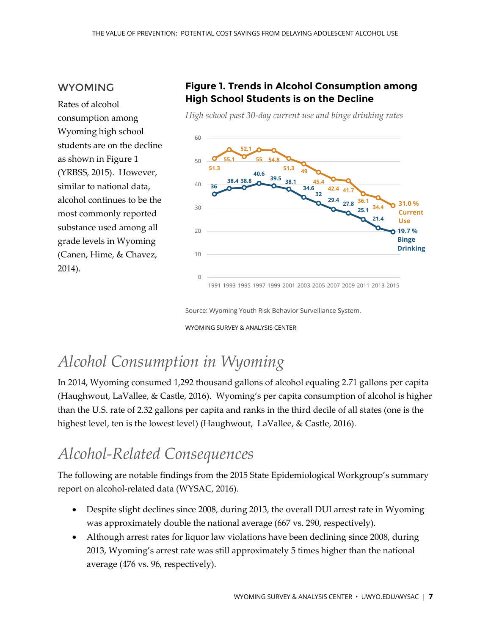#### WYOMING

Rates of alcohol consumption among Wyoming high school students are on the decline as shown i[n Figure 1](#page-6-2) (YRBSS, 2015). However, similar to national data, alcohol continues to be the most commonly reported substance used among all grade levels in Wyoming (Canen, Hime, & Chavez, 2014).

#### <span id="page-6-2"></span>**Figure 1. Trends in Alcohol Consumption among High School Students is on the Decline**

*High school past 30-day current use and binge drinking rates*



Source: Wyoming Youth Risk Behavior Surveillance System.

WYOMING SURVEY & ANALYSIS CENTER

## <span id="page-6-0"></span>*Alcohol Consumption in Wyoming*

In 2014, Wyoming consumed 1,292 thousand gallons of alcohol equaling 2.71 gallons per capita (Haughwout, LaVallee, & Castle, 2016). Wyoming's per capita consumption of alcohol is higher than the U.S. rate of 2.32 gallons per capita and ranks in the third decile of all states (one is the highest level, ten is the lowest level) (Haughwout, LaVallee, & Castle, 2016).

## <span id="page-6-1"></span>*Alcohol-Related Consequences*

The following are notable findings from the 2015 State Epidemiological Workgroup's summary report on alcohol-related data (WYSAC, 2016).

- Despite slight declines since 2008, during 2013, the overall DUI arrest rate in Wyoming was approximately double the national average (667 vs. 290, respectively).
- Although arrest rates for liquor law violations have been declining since 2008, during 2013, Wyoming's arrest rate was still approximately 5 times higher than the national average (476 vs. 96, respectively).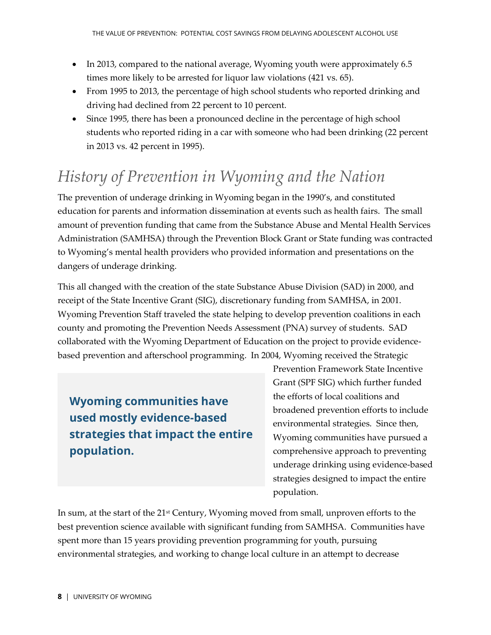- In 2013, compared to the national average, Wyoming youth were approximately 6.5 times more likely to be arrested for liquor law violations (421 vs. 65).
- From 1995 to 2013, the percentage of high school students who reported drinking and driving had declined from 22 percent to 10 percent.
- Since 1995, there has been a pronounced decline in the percentage of high school students who reported riding in a car with someone who had been drinking (22 percent in 2013 vs. 42 percent in 1995).

## <span id="page-7-0"></span>*History of Prevention in Wyoming and the Nation*

The prevention of underage drinking in Wyoming began in the 1990's, and constituted education for parents and information dissemination at events such as health fairs. The small amount of prevention funding that came from the Substance Abuse and Mental Health Services Administration (SAMHSA) through the Prevention Block Grant or State funding was contracted to Wyoming's mental health providers who provided information and presentations on the dangers of underage drinking.

This all changed with the creation of the state Substance Abuse Division (SAD) in 2000, and receipt of the State Incentive Grant (SIG), discretionary funding from SAMHSA, in 2001. Wyoming Prevention Staff traveled the state helping to develop prevention coalitions in each county and promoting the Prevention Needs Assessment (PNA) survey of students. SAD collaborated with the Wyoming Department of Education on the project to provide evidencebased prevention and afterschool programming. In 2004, Wyoming received the Strategic

**Wyoming communities have used mostly evidence-based strategies that impact the entire population.**

Prevention Framework State Incentive Grant (SPF SIG) which further funded the efforts of local coalitions and broadened prevention efforts to include environmental strategies. Since then, Wyoming communities have pursued a comprehensive approach to preventing underage drinking using evidence-based strategies designed to impact the entire population.

In sum, at the start of the 21<sup>st</sup> Century, Wyoming moved from small, unproven efforts to the best prevention science available with significant funding from SAMHSA. Communities have spent more than 15 years providing prevention programming for youth, pursuing environmental strategies, and working to change local culture in an attempt to decrease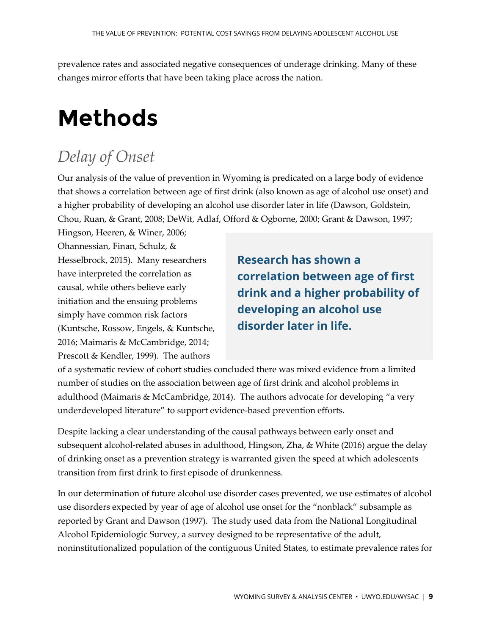prevalence rates and associated negative consequences of underage drinking. Many of these changes mirror efforts that have been taking place across the nation.

# <span id="page-8-0"></span>**Methods**

## <span id="page-8-1"></span>*Delay of Onset*

Our analysis of the value of prevention in Wyoming is predicated on a large body of evidence that shows a correlation between age of first drink (also known as age of alcohol use onset) and a higher probability of developing an alcohol use disorder later in life (Dawson, Goldstein, Chou, Ruan, & Grant, 2008; DeWit, Adlaf, Offord & Ogborne, 2000; Grant & Dawson, 1997;

Hingson, Heeren, & Winer, 2006; Ohannessian, Finan, Schulz, & Hesselbrock, 2015). Many researchers have interpreted the correlation as causal, while others believe early initiation and the ensuing problems simply have common risk factors (Kuntsche, Rossow, Engels, & Kuntsche, 2016; Maimaris & McCambridge, 2014; Prescott & Kendler, 1999). The authors

**Research has shown a correlation between age of first drink and a higher probability of developing an alcohol use disorder later in life.**

of a systematic review of cohort studies concluded there was mixed evidence from a limited number of studies on the association between age of first drink and alcohol problems in adulthood (Maimaris & McCambridge, 2014). The authors advocate for developing "a very underdeveloped literature" to support evidence-based prevention efforts.

Despite lacking a clear understanding of the causal pathways between early onset and subsequent alcohol-related abuses in adulthood, Hingson, Zha, & White (2016) argue the delay of drinking onset as a prevention strategy is warranted given the speed at which adolescents transition from first drink to first episode of drunkenness.

In our determination of future alcohol use disorder cases prevented, we use estimates of alcohol use disorders expected by year of age of alcohol use onset for the "nonblack" subsample as reported by Grant and Dawson (1997). The study used data from the National Longitudinal Alcohol Epidemiologic Survey, a survey designed to be representative of the adult, noninstitutionalized population of the contiguous United States, to estimate prevalence rates for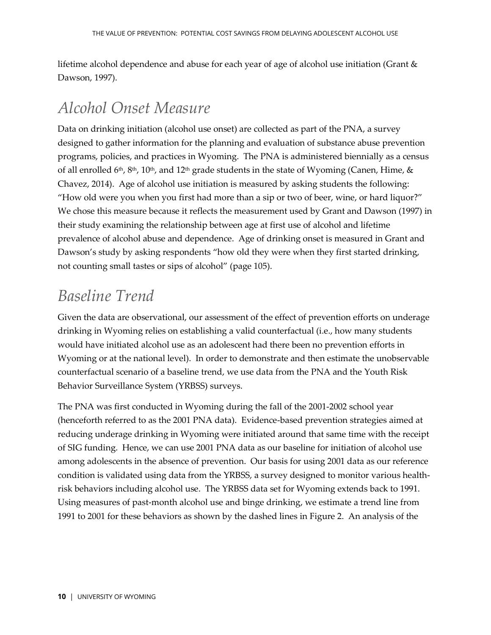lifetime alcohol dependence and abuse for each year of age of alcohol use initiation (Grant & Dawson, 1997).

## <span id="page-9-0"></span>*Alcohol Onset Measure*

Data on drinking initiation (alcohol use onset) are collected as part of the PNA, a survey designed to gather information for the planning and evaluation of substance abuse prevention programs, policies, and practices in Wyoming. The PNA is administered biennially as a census of all enrolled 6<sup>th</sup>, 8<sup>th</sup>, 10<sup>th</sup>, and 12<sup>th</sup> grade students in the state of Wyoming (Canen, Hime, & Chavez, 2014). Age of alcohol use initiation is measured by asking students the following: "How old were you when you first had more than a sip or two of beer, wine, or hard liquor?" We chose this measure because it reflects the measurement used by Grant and Dawson (1997) in their study examining the relationship between age at first use of alcohol and lifetime prevalence of alcohol abuse and dependence. Age of drinking onset is measured in Grant and Dawson's study by asking respondents "how old they were when they first started drinking, not counting small tastes or sips of alcohol" (page 105).

## <span id="page-9-1"></span>*Baseline Trend*

Given the data are observational, our assessment of the effect of prevention efforts on underage drinking in Wyoming relies on establishing a valid counterfactual (i.e., how many students would have initiated alcohol use as an adolescent had there been no prevention efforts in Wyoming or at the national level). In order to demonstrate and then estimate the unobservable counterfactual scenario of a baseline trend, we use data from the PNA and the Youth Risk Behavior Surveillance System (YRBSS) surveys.

The PNA was first conducted in Wyoming during the fall of the 2001-2002 school year (henceforth referred to as the 2001 PNA data). Evidence-based prevention strategies aimed at reducing underage drinking in Wyoming were initiated around that same time with the receipt of SIG funding. Hence, we can use 2001 PNA data as our baseline for initiation of alcohol use among adolescents in the absence of prevention. Our basis for using 2001 data as our reference condition is validated using data from the YRBSS, a survey designed to monitor various healthrisk behaviors including alcohol use. The YRBSS data set for Wyoming extends back to 1991. Using measures of past-month alcohol use and binge drinking, we estimate a trend line from 1991 to 2001 for these behaviors as shown by the dashed lines in [Figure 2.](#page-10-1) An analysis of the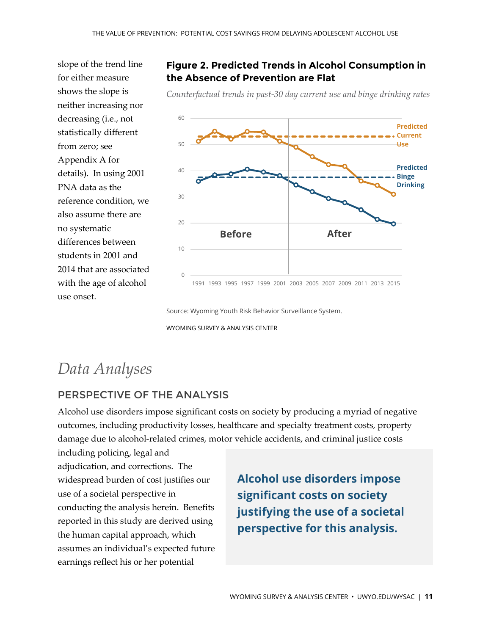slope of the trend line for either measure shows the slope is neither increasing nor decreasing (i.e., not statistically different from zero; see Appendix A for details). In using 2001 PNA data as the reference condition, we also assume there are no systematic differences between students in 2001 and 2014 that are associated with the age of alcohol use onset.

#### <span id="page-10-1"></span>**Figure 2. Predicted Trends in Alcohol Consumption in the Absence of Prevention are Flat**

*Counterfactual trends in past-30 day current use and binge drinking rates*



Source: Wyoming Youth Risk Behavior Surveillance System.

WYOMING SURVEY & ANALYSIS CENTER

## <span id="page-10-0"></span>*Data Analyses*

#### PERSPECTIVE OF THE ANALYSIS

Alcohol use disorders impose significant costs on society by producing a myriad of negative outcomes, including productivity losses, healthcare and specialty treatment costs, property damage due to alcohol-related crimes, motor vehicle accidents, and criminal justice costs

including policing, legal and adjudication, and corrections. The widespread burden of cost justifies our use of a societal perspective in conducting the analysis herein. Benefits reported in this study are derived using the human capital approach, which assumes an individual's expected future earnings reflect his or her potential

**Alcohol use disorders impose significant costs on society justifying the use of a societal perspective for this analysis.**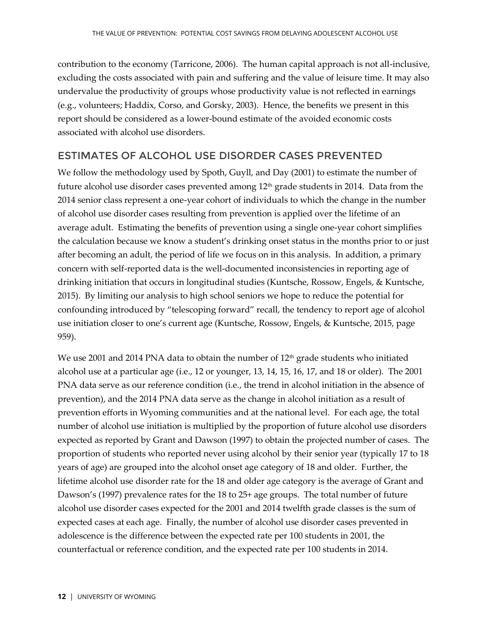contribution to the economy (Tarricone, 2006). The human capital approach is not all-inclusive, excluding the costs associated with pain and suffering and the value of leisure time. It may also undervalue the productivity of groups whose productivity value is not reflected in earnings (e.g., volunteers; Haddix, Corso, and Gorsky, 2003). Hence, the benefits we present in this report should be considered as a lower-bound estimate of the avoided economic costs associated with alcohol use disorders.

#### ESTIMATES OF ALCOHOL USE DISORDER CASES PREVENTED

We follow the methodology used by Spoth, Guyll, and Day (2001) to estimate the number of future alcohol use disorder cases prevented among 12<sup>th</sup> grade students in 2014. Data from the 2014 senior class represent a one-year cohort of individuals to which the change in the number of alcohol use disorder cases resulting from prevention is applied over the lifetime of an average adult. Estimating the benefits of prevention using a single one-year cohort simplifies the calculation because we know a student's drinking onset status in the months prior to or just after becoming an adult, the period of life we focus on in this analysis. In addition, a primary concern with self-reported data is the well-documented inconsistencies in reporting age of drinking initiation that occurs in longitudinal studies (Kuntsche, Rossow, Engels, & Kuntsche, 2015). By limiting our analysis to high school seniors we hope to reduce the potential for confounding introduced by "telescoping forward" recall, the tendency to report age of alcohol use initiation closer to one's current age (Kuntsche, Rossow, Engels, & Kuntsche, 2015, page 959).

We use 2001 and 2014 PNA data to obtain the number of  $12<sup>th</sup>$  grade students who initiated alcohol use at a particular age (i.e., 12 or younger, 13, 14, 15, 16, 17, and 18 or older). The 2001 PNA data serve as our reference condition (i.e., the trend in alcohol initiation in the absence of prevention), and the 2014 PNA data serve as the change in alcohol initiation as a result of prevention efforts in Wyoming communities and at the national level. For each age, the total number of alcohol use initiation is multiplied by the proportion of future alcohol use disorders expected as reported by Grant and Dawson (1997) to obtain the projected number of cases. The proportion of students who reported never using alcohol by their senior year (typically 17 to 18 years of age) are grouped into the alcohol onset age category of 18 and older. Further, the lifetime alcohol use disorder rate for the 18 and older age category is the average of Grant and Dawson's (1997) prevalence rates for the 18 to 25+ age groups. The total number of future alcohol use disorder cases expected for the 2001 and 2014 twelfth grade classes is the sum of expected cases at each age. Finally, the number of alcohol use disorder cases prevented in adolescence is the difference between the expected rate per 100 students in 2001, the counterfactual or reference condition, and the expected rate per 100 students in 2014.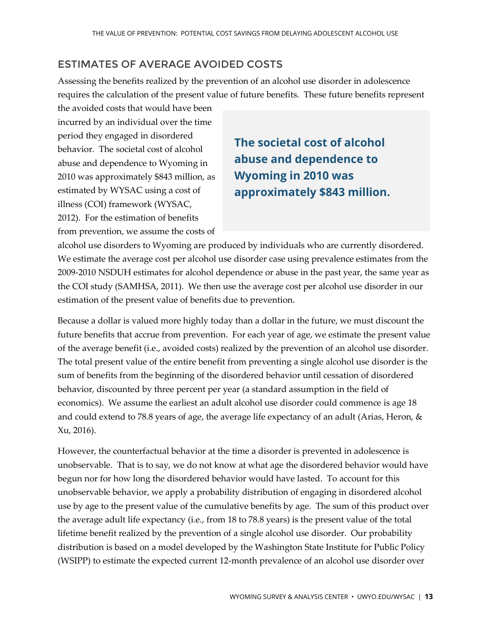#### ESTIMATES OF AVERAGE AVOIDED COSTS

Assessing the benefits realized by the prevention of an alcohol use disorder in adolescence requires the calculation of the present value of future benefits. These future benefits represent

the avoided costs that would have been incurred by an individual over the time period they engaged in disordered behavior. The societal cost of alcohol abuse and dependence to Wyoming in 2010 was approximately \$843 million, as estimated by WYSAC using a cost of illness (COI) framework (WYSAC, 2012). For the estimation of benefits from prevention, we assume the costs of

## **The societal cost of alcohol abuse and dependence to Wyoming in 2010 was approximately \$843 million.**

alcohol use disorders to Wyoming are produced by individuals who are currently disordered. We estimate the average cost per alcohol use disorder case using prevalence estimates from the 2009-2010 NSDUH estimates for alcohol dependence or abuse in the past year, the same year as the COI study (SAMHSA, 2011). We then use the average cost per alcohol use disorder in our estimation of the present value of benefits due to prevention.

Because a dollar is valued more highly today than a dollar in the future, we must discount the future benefits that accrue from prevention. For each year of age, we estimate the present value of the average benefit (i.e., avoided costs) realized by the prevention of an alcohol use disorder. The total present value of the entire benefit from preventing a single alcohol use disorder is the sum of benefits from the beginning of the disordered behavior until cessation of disordered behavior, discounted by three percent per year (a standard assumption in the field of economics). We assume the earliest an adult alcohol use disorder could commence is age 18 and could extend to 78.8 years of age, the average life expectancy of an adult (Arias, Heron, & Xu, 2016).

However, the counterfactual behavior at the time a disorder is prevented in adolescence is unobservable. That is to say, we do not know at what age the disordered behavior would have begun nor for how long the disordered behavior would have lasted. To account for this unobservable behavior, we apply a probability distribution of engaging in disordered alcohol use by age to the present value of the cumulative benefits by age. The sum of this product over the average adult life expectancy (i.e., from 18 to 78.8 years) is the present value of the total lifetime benefit realized by the prevention of a single alcohol use disorder. Our probability distribution is based on a model developed by the Washington State Institute for Public Policy (WSIPP) to estimate the expected current 12-month prevalence of an alcohol use disorder over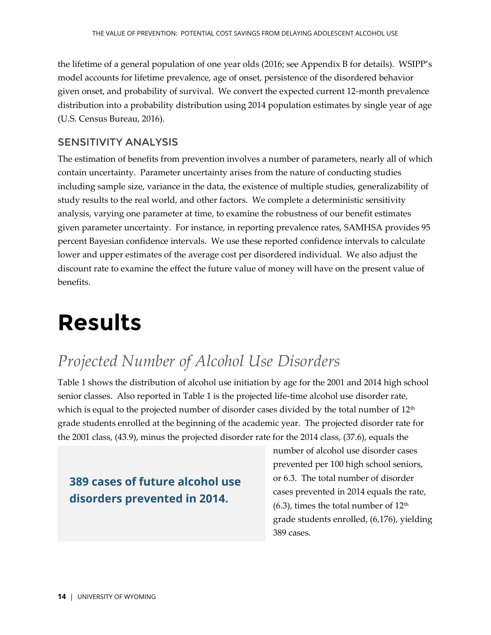the lifetime of a general population of one year olds (2016; see Appendix B for details). WSIPP's model accounts for lifetime prevalence, age of onset, persistence of the disordered behavior given onset, and probability of survival. We convert the expected current 12-month prevalence distribution into a probability distribution using 2014 population estimates by single year of age (U.S. Census Bureau, 2016).

#### SENSITIVITY ANALYSIS

The estimation of benefits from prevention involves a number of parameters, nearly all of which contain uncertainty. Parameter uncertainty arises from the nature of conducting studies including sample size, variance in the data, the existence of multiple studies, generalizability of study results to the real world, and other factors. We complete a deterministic sensitivity analysis, varying one parameter at time, to examine the robustness of our benefit estimates given parameter uncertainty. For instance, in reporting prevalence rates, SAMHSA provides 95 percent Bayesian confidence intervals. We use these reported confidence intervals to calculate lower and upper estimates of the average cost per disordered individual. We also adjust the discount rate to examine the effect the future value of money will have on the present value of benefits.

## <span id="page-13-0"></span>**Results**

## <span id="page-13-1"></span>*Projected Number of Alcohol Use Disorders*

[Table 1](#page-14-0) shows the distribution of alcohol use initiation by age for the 2001 and 2014 high school senior classes. Also reported in [Table 1](#page-14-0) is the projected life-time alcohol use disorder rate, which is equal to the projected number of disorder cases divided by the total number of  $12<sup>th</sup>$ grade students enrolled at the beginning of the academic year. The projected disorder rate for the 2001 class, (43.9), minus the projected disorder rate for the 2014 class, (37.6), equals the

### **389 cases of future alcohol use disorders prevented in 2014.**

number of alcohol use disorder cases prevented per 100 high school seniors, or 6.3. The total number of disorder cases prevented in 2014 equals the rate,  $(6.3)$ , times the total number of  $12<sup>th</sup>$ grade students enrolled, (6,176), yielding 389 cases.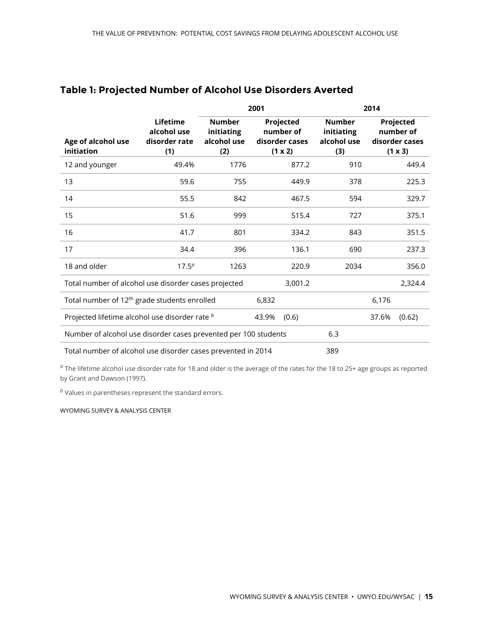|                                                                 |                                                 | 2001                                              |                                                     |                                                   | 2014  |                                                     |  |
|-----------------------------------------------------------------|-------------------------------------------------|---------------------------------------------------|-----------------------------------------------------|---------------------------------------------------|-------|-----------------------------------------------------|--|
| Age of alcohol use<br>initiation                                | Lifetime<br>alcohol use<br>disorder rate<br>(1) | <b>Number</b><br>initiating<br>alcohol use<br>(2) | Projected<br>number of<br>disorder cases<br>(1 x 2) | <b>Number</b><br>initiating<br>alcohol use<br>(3) |       | Projected<br>number of<br>disorder cases<br>(1 x 3) |  |
| 12 and younger                                                  | 49.4%                                           | 1776                                              | 877.2                                               | 910                                               |       | 449.4                                               |  |
| 13                                                              | 59.6                                            | 755                                               | 449.9                                               | 378                                               |       | 225.3                                               |  |
| 14                                                              | 55.5                                            | 842                                               | 467.5                                               | 594                                               |       | 329.7                                               |  |
| 15                                                              | 51.6                                            | 999                                               | 515.4                                               | 727                                               |       | 375.1                                               |  |
| 16                                                              | 41.7                                            | 801                                               | 334.2                                               | 843                                               |       | 351.5                                               |  |
| 17                                                              | 34.4                                            | 396                                               | 136.1                                               | 690                                               |       | 237.3                                               |  |
| 18 and older                                                    | $17.5^{\circ}$                                  | 1263                                              | 220.9                                               | 2034                                              |       | 356.0                                               |  |
| Total number of alcohol use disorder cases projected            |                                                 |                                                   | 3,001.2                                             |                                                   |       | 2,324.4                                             |  |
| Total number of 12 <sup>th</sup> grade students enrolled        |                                                 |                                                   | 6,832                                               |                                                   | 6,176 |                                                     |  |
| Projected lifetime alcohol use disorder rate b                  |                                                 |                                                   | 43.9%<br>(0.6)                                      |                                                   | 37.6% | (0.62)                                              |  |
| Number of alcohol use disorder cases prevented per 100 students |                                                 |                                                   |                                                     | 6.3                                               |       |                                                     |  |
| Total number of alcohol use disorder cases prevented in 2014    |                                                 |                                                   |                                                     |                                                   |       |                                                     |  |

#### <span id="page-14-0"></span>**Table 1: Projected Number of Alcohol Use Disorders Averted**

*a* The lifetime alcohol use disorder rate for 18 and older is the average of the rates for the 18 to 25+ age groups as reported by Grant and Dawson (1997).

*<sup>b</sup>* Values in parentheses represent the standard errors.

#### WYOMING SURVEY & ANALYSIS CENTER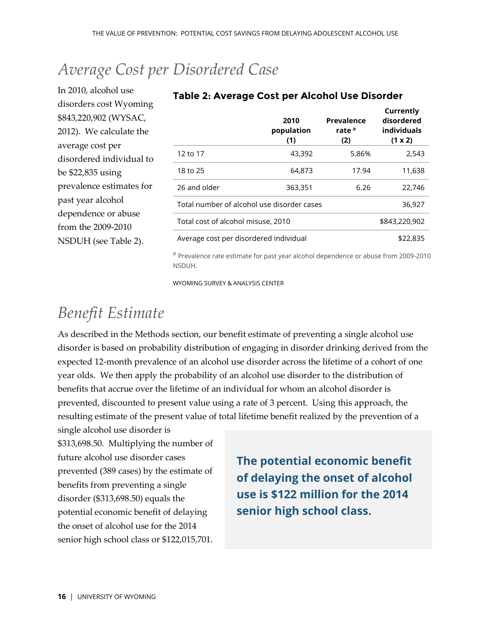## <span id="page-15-0"></span>*Average Cost per Disordered Case*

In 2010, alcohol use disorders cost Wyoming \$843,220,902 (WYSAC, 2012). We calculate the average cost per disordered individual to be \$22,835 using prevalence estimates for past year alcohol dependence or abuse from the 2009-2010 NSDUH (see [Table 2\)](#page-15-2).

|                                            | 2010<br>population<br>(1) | Prevalence<br>rate <sup>a</sup><br>(2) | Currently<br>disordered<br>individuals<br>(1 x 2) |
|--------------------------------------------|---------------------------|----------------------------------------|---------------------------------------------------|
| 12 to 17                                   | 43,392                    | 5.86%                                  | 2,543                                             |
| 18 to 25                                   | 64,873                    | 17.94                                  | 11,638                                            |
| 26 and older                               | 363,351                   | 6.26                                   | 22,746                                            |
| Total number of alcohol use disorder cases |                           | 36,927                                 |                                                   |
| Total cost of alcohol misuse, 2010         |                           | \$843,220,902                          |                                                   |
| Average cost per disordered individual     |                           | \$22,835                               |                                                   |

#### <span id="page-15-2"></span>**Table 2: Average Cost per Alcohol Use Disorder**

*<sup>a</sup>* Prevalence rate estimate for past year alcohol dependence or abuse from 2009-2010 NSDUH.

WYOMING SURVEY & ANALYSIS CENTER

## <span id="page-15-1"></span>*Benefit Estimate*

As described in the Methods section, our benefit estimate of preventing a single alcohol use disorder is based on probability distribution of engaging in disorder drinking derived from the expected 12-month prevalence of an alcohol use disorder across the lifetime of a cohort of one year olds. We then apply the probability of an alcohol use disorder to the distribution of benefits that accrue over the lifetime of an individual for whom an alcohol disorder is prevented, discounted to present value using a rate of 3 percent. Using this approach, the resulting estimate of the present value of total lifetime benefit realized by the prevention of a single alcohol use disorder is

\$313,698.50. Multiplying the number of future alcohol use disorder cases prevented (389 cases) by the estimate of benefits from preventing a single disorder (\$313,698.50) equals the potential economic benefit of delaying the onset of alcohol use for the 2014 senior high school class or \$122,015,701.

**The potential economic benefit of delaying the onset of alcohol use is \$122 million for the 2014 senior high school class.**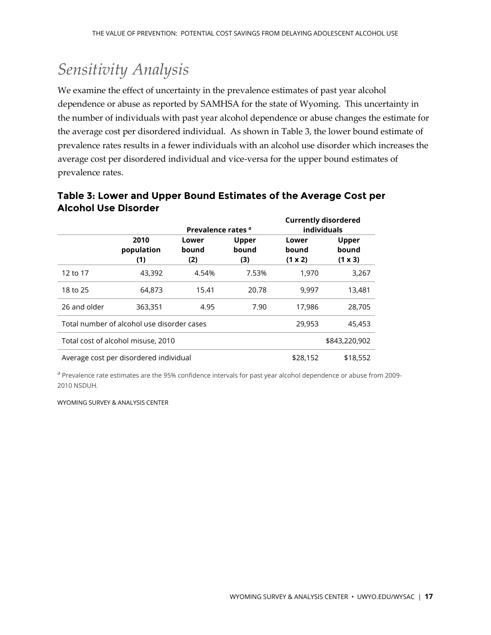## <span id="page-16-0"></span>*Sensitivity Analysis*

We examine the effect of uncertainty in the prevalence estimates of past year alcohol dependence or abuse as reported by SAMHSA for the state of Wyoming. This uncertainty in the number of individuals with past year alcohol dependence or abuse changes the estimate for the average cost per disordered individual. As shown in [Table 3,](#page-16-1) the lower bound estimate of prevalence rates results in a fewer individuals with an alcohol use disorder which increases the average cost per disordered individual and vice-versa for the upper bound estimates of prevalence rates.

|                                            |                           | Prevalence rates <sup>a</sup> |                              | <b>Currently disordered</b><br><b>individuals</b> |                                         |
|--------------------------------------------|---------------------------|-------------------------------|------------------------------|---------------------------------------------------|-----------------------------------------|
|                                            | 2010<br>population<br>(1) | Lower<br>bound<br>(2)         | <b>Upper</b><br>bound<br>(3) | Lower<br>bound<br>(1 x 2)                         | <b>Upper</b><br>bound<br>$(1 \times 3)$ |
| 12 to 17                                   | 43,392                    | 4.54%                         | 7.53%                        | 1.970                                             | 3,267                                   |
| 18 to 25                                   | 64,873                    | 15.41                         | 20.78                        | 9,997                                             | 13,481                                  |
| 26 and older                               | 363,351                   | 4.95                          | 7.90                         | 17,986                                            | 28,705                                  |
| Total number of alcohol use disorder cases |                           |                               |                              | 29,953                                            | 45,453                                  |
| Total cost of alcohol misuse, 2010         |                           |                               |                              | \$843,220,902                                     |                                         |
| Average cost per disordered individual     |                           |                               |                              | \$28,152                                          | \$18,552                                |

#### <span id="page-16-1"></span>**Table 3: Lower and Upper Bound Estimates of the Average Cost per Alcohol Use Disorder**

<sup>a</sup> Prevalence rate estimates are the 95% confidence intervals for past year alcohol dependence or abuse from 2009-2010 NSDUH.

WYOMING SURVEY & ANALYSIS CENTER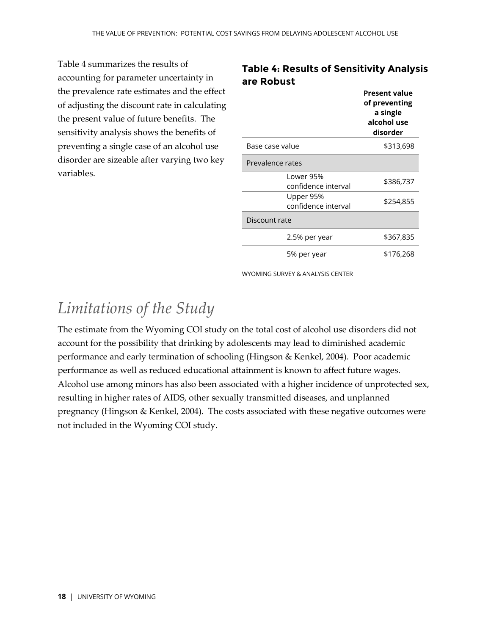[Table 4](#page-17-1) summarizes the results of accounting for parameter uncertainty in the prevalence rate estimates and the effect of adjusting the discount rate in calculating the present value of future benefits. The sensitivity analysis shows the benefits of preventing a single case of an alcohol use disorder are sizeable after varying two key variables.

#### <span id="page-17-1"></span>**Table 4: Results of Sensitivity Analysis are Robust**

|                                  | <b>Present value</b><br>of preventing<br>a single<br>alcohol use<br>disorder |  |  |  |
|----------------------------------|------------------------------------------------------------------------------|--|--|--|
| Base case value                  | \$313,698                                                                    |  |  |  |
| Prevalence rates                 |                                                                              |  |  |  |
| Lower 95%<br>confidence interval | \$386,737                                                                    |  |  |  |
| Upper 95%<br>confidence interval | \$254,855                                                                    |  |  |  |
| Discount rate                    |                                                                              |  |  |  |
| 2.5% per year                    | \$367,835                                                                    |  |  |  |
| 5% per year                      | \$176,268                                                                    |  |  |  |

WYOMING SURVEY & ANALYSIS CENTER

## <span id="page-17-0"></span>*Limitations of the Study*

The estimate from the Wyoming COI study on the total cost of alcohol use disorders did not account for the possibility that drinking by adolescents may lead to diminished academic performance and early termination of schooling (Hingson & Kenkel, 2004). Poor academic performance as well as reduced educational attainment is known to affect future wages. Alcohol use among minors has also been associated with a higher incidence of unprotected sex, resulting in higher rates of AIDS, other sexually transmitted diseases, and unplanned pregnancy (Hingson & Kenkel, 2004). The costs associated with these negative outcomes were not included in the Wyoming COI study.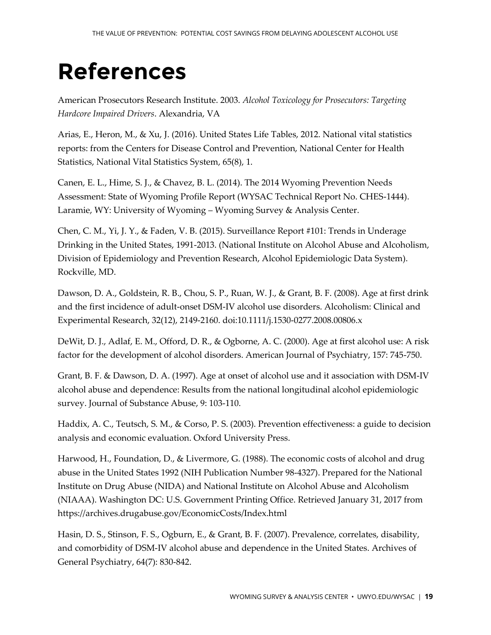# <span id="page-18-0"></span>**References**

American Prosecutors Research Institute. 2003. *Alcohol Toxicology for Prosecutors: Targeting Hardcore Impaired Drivers*. Alexandria, VA

Arias, E., Heron, M., & Xu, J. (2016). United States Life Tables, 2012. National vital statistics reports: from the Centers for Disease Control and Prevention, National Center for Health Statistics, National Vital Statistics System, 65(8), 1.

Canen, E. L., Hime, S. J., & Chavez, B. L. (2014). The 2014 Wyoming Prevention Needs Assessment: State of Wyoming Profile Report (WYSAC Technical Report No. CHES-1444). Laramie, WY: University of Wyoming – Wyoming Survey & Analysis Center.

Chen, C. M., Yi, J. Y., & Faden, V. B. (2015). Surveillance Report #101: Trends in Underage Drinking in the United States, 1991-2013. (National Institute on Alcohol Abuse and Alcoholism, Division of Epidemiology and Prevention Research, Alcohol Epidemiologic Data System). Rockville, MD.

Dawson, D. A., Goldstein, R. B., Chou, S. P., Ruan, W. J., & Grant, B. F. (2008). Age at first drink and the first incidence of adult-onset DSM-IV alcohol use disorders. Alcoholism: Clinical and Experimental Research, 32(12), 2149-2160. doi:10.1111/j.1530-0277.2008.00806.x

DeWit, D. J., Adlaf, E. M., Offord, D. R., & Ogborne, A. C. (2000). Age at first alcohol use: A risk factor for the development of alcohol disorders. American Journal of Psychiatry, 157: 745-750.

Grant, B. F. & Dawson, D. A. (1997). Age at onset of alcohol use and it association with DSM-IV alcohol abuse and dependence: Results from the national longitudinal alcohol epidemiologic survey. Journal of Substance Abuse, 9: 103-110.

Haddix, A. C., Teutsch, S. M., & Corso, P. S. (2003). Prevention effectiveness: a guide to decision analysis and economic evaluation. Oxford University Press.

Harwood, H., Foundation, D., & Livermore, G. (1988). The economic costs of alcohol and drug abuse in the United States 1992 (NIH Publication Number 98-4327). Prepared for the National Institute on Drug Abuse (NIDA) and National Institute on Alcohol Abuse and Alcoholism (NIAAA). Washington DC: U.S. Government Printing Office. Retrieved January 31, 2017 from https://archives.drugabuse.gov/EconomicCosts/Index.html

Hasin, D. S., Stinson, F. S., Ogburn, E., & Grant, B. F. (2007). Prevalence, correlates, disability, and comorbidity of DSM-IV alcohol abuse and dependence in the United States. Archives of General Psychiatry, 64(7): 830-842.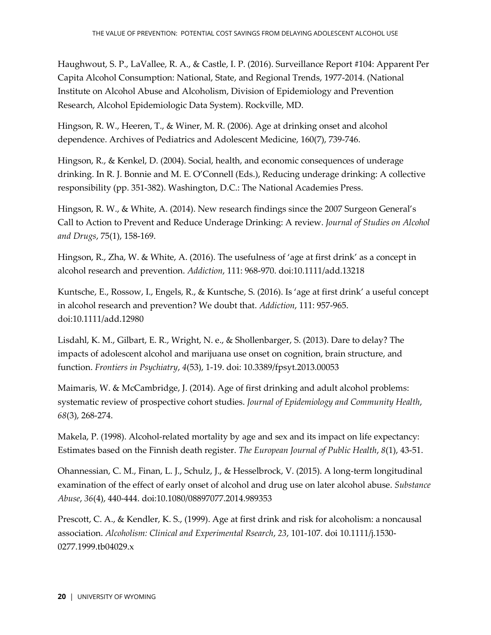Haughwout, S. P., LaVallee, R. A., & Castle, I. P. (2016). Surveillance Report #104: Apparent Per Capita Alcohol Consumption: National, State, and Regional Trends, 1977-2014. (National Institute on Alcohol Abuse and Alcoholism, Division of Epidemiology and Prevention Research, Alcohol Epidemiologic Data System). Rockville, MD.

Hingson, R. W., Heeren, T., & Winer, M. R. (2006). Age at drinking onset and alcohol dependence. Archives of Pediatrics and Adolescent Medicine, 160(7), 739-746.

Hingson, R., & Kenkel, D. (2004). Social, health, and economic consequences of underage drinking. In R. J. Bonnie and M. E. O'Connell (Eds.), Reducing underage drinking: A collective responsibility (pp. 351-382). Washington, D.C.: The National Academies Press.

Hingson, R. W., & White, A. (2014). New research findings since the 2007 Surgeon General's Call to Action to Prevent and Reduce Underage Drinking: A review. *Journal of Studies on Alcohol and Drugs*, 75(1), 158-169.

Hingson, R., Zha, W. & White, A. (2016). The usefulness of 'age at first drink' as a concept in alcohol research and prevention. *Addiction*, 111: 968-970. doi:10.1111/add.13218

Kuntsche, E., Rossow, I., Engels, R., & Kuntsche, S. (2016). Is 'age at first drink' a useful concept in alcohol research and prevention? We doubt that. *Addiction*, 111: 957-965. doi:10.1111/add.12980

Lisdahl, K. M., Gilbart, E. R., Wright, N. e., & Shollenbarger, S. (2013). Dare to delay? The impacts of adolescent alcohol and marijuana use onset on cognition, brain structure, and function. *Frontiers in Psychiatry*, *4*(53), 1-19. doi: 10.3389/fpsyt.2013.00053

Maimaris, W. & McCambridge, J. (2014). Age of first drinking and adult alcohol problems: systematic review of prospective cohort studies. *Journal of Epidemiology and Community Health*, *68*(3), 268-274.

Makela, P. (1998). Alcohol-related mortality by age and sex and its impact on life expectancy: Estimates based on the Finnish death register. *The European Journal of Public Health*, *8*(1), 43-51.

Ohannessian, C. M., Finan, L. J., Schulz, J., & Hesselbrock, V. (2015). A long-term longitudinal examination of the effect of early onset of alcohol and drug use on later alcohol abuse. *Substance Abuse*, *36*(4), 440-444. doi:10.1080/08897077.2014.989353

Prescott, C. A., & Kendler, K. S., (1999). Age at first drink and risk for alcoholism: a noncausal association. *Alcoholism: Clinical and Experimental Rsearch*, *23*, 101-107. doi 10.1111/j.1530- 0277.1999.tb04029.x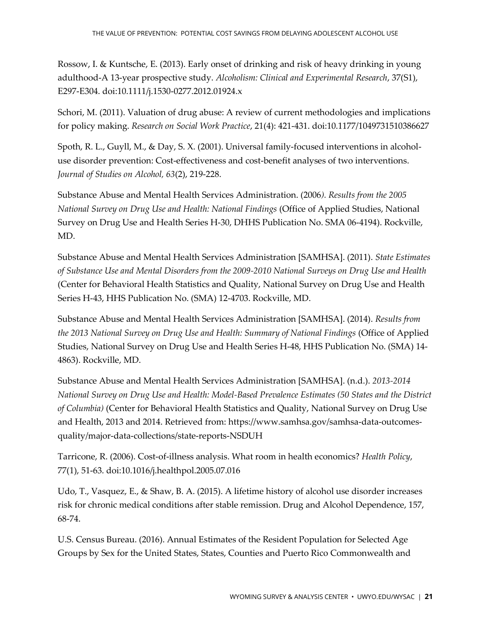Rossow, I. & Kuntsche, E. (2013). Early onset of drinking and risk of heavy drinking in young adulthood-A 13-year prospective study. *Alcoholism: Clinical and Experimental Research*, 37(S1), E297-E304. doi:10.1111/j.1530-0277.2012.01924.x

Schori, M. (2011). Valuation of drug abuse: A review of current methodologies and implications for policy making. *Research on Social Work Practice*, 21(4): 421-431. doi:10.1177/1049731510386627

Spoth, R. L., Guyll, M., & Day, S. X. (2001). Universal family-focused interventions in alcoholuse disorder prevention: Cost-effectiveness and cost-benefit analyses of two interventions. *Journal of Studies on Alcohol, 63*(2), 219-228.

Substance Abuse and Mental Health Services Administration. (2006*). Results from the 2005 National Survey on Drug Use and Health: National Findings* (Office of Applied Studies, National Survey on Drug Use and Health Series H-30, DHHS Publication No. SMA 06-4194). Rockville, MD.

Substance Abuse and Mental Health Services Administration [SAMHSA]. (2011). *State Estimates of Substance Use and Mental Disorders from the 2009-2010 National Surveys on Drug Use and Health* (Center for Behavioral Health Statistics and Quality, National Survey on Drug Use and Health Series H-43, HHS Publication No. (SMA) 12-4703. Rockville, MD.

Substance Abuse and Mental Health Services Administration [SAMHSA]. (2014). *Results from the 2013 National Survey on Drug Use and Health: Summary of National Findings* (Office of Applied Studies, National Survey on Drug Use and Health Series H-48, HHS Publication No. (SMA) 14- 4863). Rockville, MD.

Substance Abuse and Mental Health Services Administration [SAMHSA]. (n.d.). *2013-2014 National Survey on Drug Use and Health: Model-Based Prevalence Estimates (50 States and the District of Columbia)* (Center for Behavioral Health Statistics and Quality, National Survey on Drug Use and Health, 2013 and 2014. Retrieved from: https://www.samhsa.gov/samhsa-data-outcomesquality/major-data-collections/state-reports-NSDUH

Tarricone, R. (2006). Cost-of-illness analysis. What room in health economics? *Health Policy*, 77(1), 51-63. doi:10.1016/j.healthpol.2005.07.016

Udo, T., Vasquez, E., & Shaw, B. A. (2015). A lifetime history of alcohol use disorder increases risk for chronic medical conditions after stable remission. Drug and Alcohol Dependence, 157, 68-74.

U.S. Census Bureau. (2016). Annual Estimates of the Resident Population for Selected Age Groups by Sex for the United States, States, Counties and Puerto Rico Commonwealth and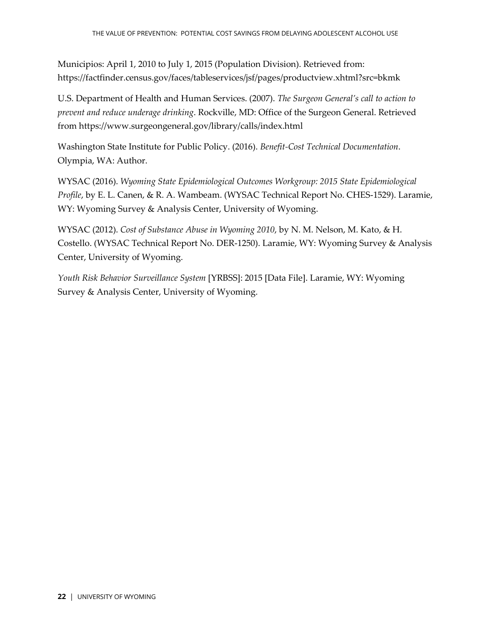Municipios: April 1, 2010 to July 1, 2015 (Population Division). Retrieved from: https://factfinder.census.gov/faces/tableservices/jsf/pages/productview.xhtml?src=bkmk

U.S. Department of Health and Human Services. (2007). *The Surgeon General's call to action to prevent and reduce underage drinking*. Rockville, MD: Office of the Surgeon General. Retrieved from https://www.surgeongeneral.gov/library/calls/index.html

Washington State Institute for Public Policy. (2016). *Benefit-Cost Technical Documentation*. Olympia, WA: Author.

WYSAC (2016). *Wyoming State Epidemiological Outcomes Workgroup: 2015 State Epidemiological Profile*, by E. L. Canen, & R. A. Wambeam. (WYSAC Technical Report No. CHES-1529). Laramie, WY: Wyoming Survey & Analysis Center, University of Wyoming.

WYSAC (2012). *Cost of Substance Abuse in Wyoming 2010*, by N. M. Nelson, M. Kato, & H. Costello. (WYSAC Technical Report No. DER-1250). Laramie, WY: Wyoming Survey & Analysis Center, University of Wyoming.

*Youth Risk Behavior Surveillance System* [YRBSS]: 2015 [Data File]. Laramie, WY: Wyoming Survey & Analysis Center, University of Wyoming.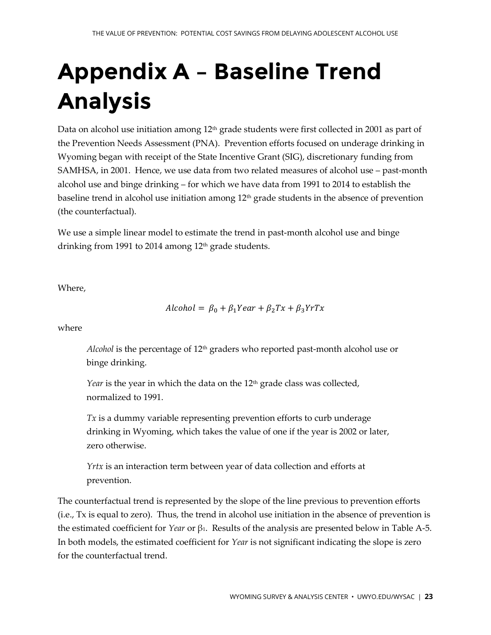# <span id="page-22-0"></span>**Appendix A – Baseline Trend Analysis**

Data on alcohol use initiation among  $12<sup>th</sup>$  grade students were first collected in 2001 as part of the Prevention Needs Assessment (PNA). Prevention efforts focused on underage drinking in Wyoming began with receipt of the State Incentive Grant (SIG), discretionary funding from SAMHSA, in 2001. Hence, we use data from two related measures of alcohol use – past-month alcohol use and binge drinking – for which we have data from 1991 to 2014 to establish the baseline trend in alcohol use initiation among  $12<sup>th</sup>$  grade students in the absence of prevention (the counterfactual).

We use a simple linear model to estimate the trend in past-month alcohol use and binge drinking from 1991 to 2014 among 12<sup>th</sup> grade students.

Where,

 $Alcohol = \beta_0 + \beta_1 Year + \beta_2 Tx + \beta_3 YrTx$ 

where

*Alcohol* is the percentage of 12<sup>th</sup> graders who reported past-month alcohol use or binge drinking.

*Year* is the year in which the data on the 12<sup>th</sup> grade class was collected, normalized to 1991.

*Tx* is a dummy variable representing prevention efforts to curb underage drinking in Wyoming, which takes the value of one if the year is 2002 or later, zero otherwise.

*Yrtx* is an interaction term between year of data collection and efforts at prevention.

The counterfactual trend is represented by the slope of the line previous to prevention efforts (i.e., Tx is equal to zero). Thus, the trend in alcohol use initiation in the absence of prevention is the estimated coefficient for *Year* or β1. Results of the analysis are presented below in [Table A-5.](#page-23-0) In both models, the estimated coefficient for *Year* is not significant indicating the slope is zero for the counterfactual trend.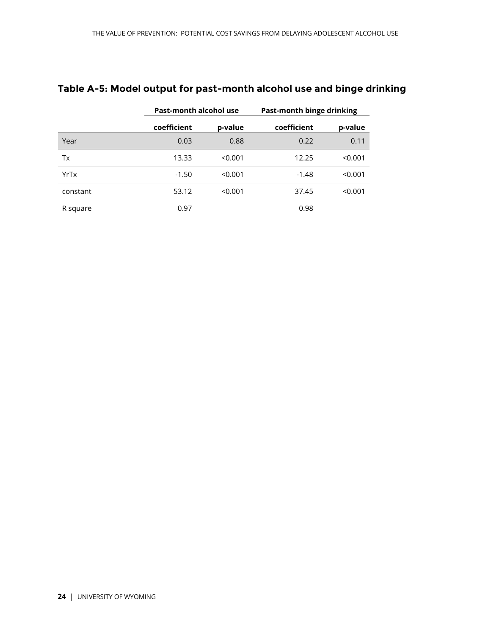|          |             | Past-month alcohol use |             | Past-month binge drinking |  |
|----------|-------------|------------------------|-------------|---------------------------|--|
|          | coefficient | p-value                | coefficient | p-value                   |  |
| Year     | 0.03        | 0.88                   | 0.22        | 0.11                      |  |
| Tx       | 13.33       | < 0.001                | 12.25       | < 0.001                   |  |
| YrTx     | $-1.50$     | < 0.001                | $-1.48$     | < 0.001                   |  |
| constant | 53.12       | < 0.001                | 37.45       | < 0.001                   |  |
| R square | 0.97        |                        | 0.98        |                           |  |

#### <span id="page-23-0"></span>**Table A-5: Model output for past-month alcohol use and binge drinking**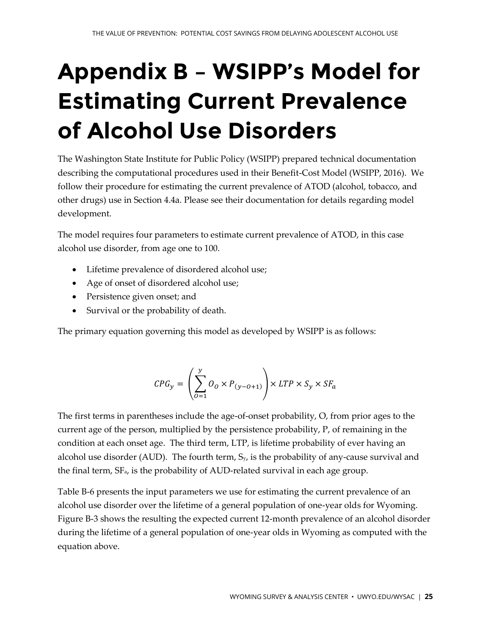# <span id="page-24-0"></span>**Appendix B – WSIPP's Model for Estimating Current Prevalence of Alcohol Use Disorders**

The Washington State Institute for Public Policy (WSIPP) prepared technical documentation describing the computational procedures used in their Benefit-Cost Model (WSIPP, 2016). We follow their procedure for estimating the current prevalence of ATOD (alcohol, tobacco, and other drugs) use in Section 4.4a. Please see their documentation for details regarding model development.

The model requires four parameters to estimate current prevalence of ATOD, in this case alcohol use disorder, from age one to 100.

- Lifetime prevalence of disordered alcohol use;
- Age of onset of disordered alcohol use;
- Persistence given onset; and
- Survival or the probability of death.

The primary equation governing this model as developed by WSIPP is as follows:

$$
\textit{CPG}_{y} = \left(\sum_{O=1}^{y} O_O \times P_{(y-O+1)}\right) \times \textit{LTP} \times S_y \times \textit{SF}_a
$$

The first terms in parentheses include the age-of-onset probability, O, from prior ages to the current age of the person, multiplied by the persistence probability, P, of remaining in the condition at each onset age. The third term, LTP, is lifetime probability of ever having an alcohol use disorder (AUD). The fourth term,  $S_y$ , is the probability of any-cause survival and the final term, SFa, is the probability of AUD-related survival in each age group.

[Table B-6](#page-25-0) presents the input parameters we use for estimating the current prevalence of an alcohol use disorder over the lifetime of a general population of one-year olds for Wyoming. [Figure B-3](#page-25-1) shows the resulting the expected current 12-month prevalence of an alcohol disorder during the lifetime of a general population of one-year olds in Wyoming as computed with the equation above.